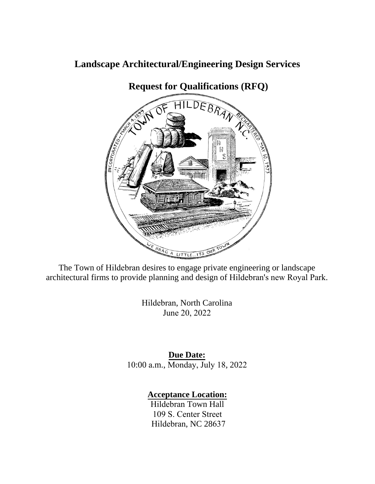# **Landscape Architectural/Engineering Design Services**



**Request for Qualifications (RFQ)**

The Town of Hildebran desires to engage private engineering or landscape architectural firms to provide planning and design of Hildebran's new Royal Park.

> Hildebran, North Carolina June 20, 2022

**Due Date:** 10:00 a.m., Monday, July 18, 2022

**Acceptance Location:**

Hildebran Town Hall 109 S. Center Street Hildebran, NC 28637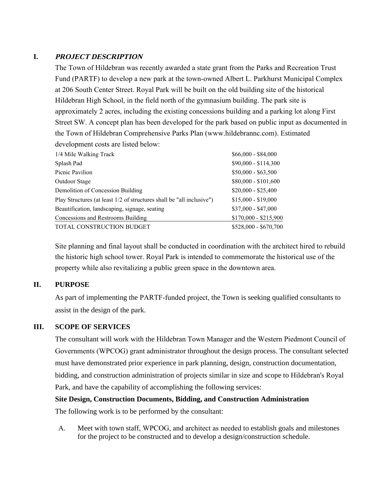# **I. PROJECT DESCRIPTION**

The Town of Hildebran was recently awarded a state grant from the Parks and Recreation Trust Fund (PARTF) to develop a new park at the town-owned Albert L. Parkhurst Municipal Complex at 206 South Center Street. Royal Park will be built on the old building site of the historical Hildebran High School, in the field north of the gymnasium building. The park site is approximately 2 acres, including the existing concessions building and a parking lot along First Street SW. A concept plan has been developed for the park based on public input as documented in the Town of Hildebran Comprehensive Parks Plan ([www.hildebrannc.com\). Es](http://www.hildebrannc.com)timated development costs are listed below:

| 1/4 Mile Walking Track                                                | $$66,000 - $84,000$   |
|-----------------------------------------------------------------------|-----------------------|
| Splash Pad                                                            | \$90,000 - \$114,300  |
| Picnic Pavilion                                                       | $$50,000 - $63,500$   |
| Outdoor Stage                                                         | $$80,000 - $101,600$  |
| Demolition of Concession Building                                     | $$20,000 - $25,400$   |
| Play Structures (at least 1/2 of structures shall be "all inclusive") | $$15,000 - $19,000$   |
| Beautification, landscaping, signage, seating                         | $$37,000 - $47,000$   |
| Concessions and Restrooms Building                                    | $$170,000 - $215,900$ |
| TOTAL CONSTRUCTION BUDGET                                             | \$528,000 - \$670,700 |
|                                                                       |                       |

Site planning and final layout shall be conducted in coordination with the architect hired to rebuild the historic high school tower. Royal Park is intended to commemorate the historical use of the property while also revitalizing a public green space in the downtown area.

### **II. PURPOSE**

As part of implementing the PARTF-funded project, the Town is seeking qualified consultants to assist in the design of the park.

### **III. SCOPE OF SERVICES**

The consultant will work with the Hildebran Town Manager and the Western Piedmont Council of Governments (WPCOG) grant administrator throughout the design process. The consultant selected must have demonstrated prior experience in park planning, design, construction documentation, bidding, and construction administration of projects similar in size and scope to Hildebran's Royal Park, and have the capability of accomplishing the following services:

### **Site Design, Construction Documents, Bidding, and Construction Administration**

The following work is to be performed by the consultant:

A. Meet with town staff, WPCOG, and architect as needed to establish goals and milestones for the project to be constructed and to develop a design/construction schedule.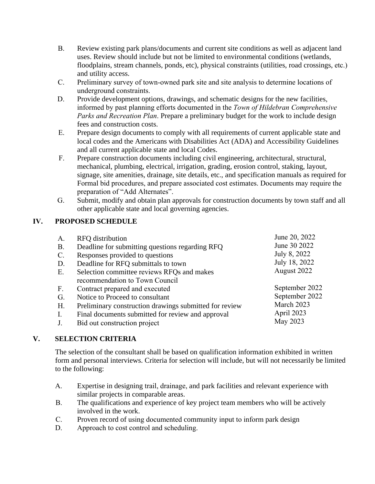- B. Review existing park plans/documents and current site conditions as well as adjacent land uses. Review should include but not be limited to environmental conditions (wetlands, floodplains, stream channels, ponds, etc), physical constraints (utilities, road crossings, etc.) and utility access.
- C. Preliminary survey of town-owned park site and site analysis to determine locations of underground constraints.
- D. Provide development options, drawings, and schematic designs for the new facilities, informed by past planning efforts documented in the *Town of Hildebran Comprehensive Parks and Recreation Plan*. Prepare a preliminary budget for the work to include design fees and construction costs.
- E. Prepare design documents to comply with all requirements of current applicable state and local codes and the Americans with Disabilities Act (ADA) and Accessibility Guidelines and all current applicable state and local Codes.
- F. Prepare construction documents including civil engineering, architectural, structural, mechanical, plumbing, electrical, irrigation, grading, erosion control, staking, layout, signage, site amenities, drainage, site details, etc., and specification manuals as required for Formal bid procedures, and prepare associated cost estimates. Documents may require the preparation of "Add Alternates".
- G. Submit, modify and obtain plan approvals for construction documents by town staff and all other applicable state and local governing agencies.

## **IV. PROPOSED SCHEDULE**

| A.             | RFQ distribution                                       | June 20, 2022  |
|----------------|--------------------------------------------------------|----------------|
| <b>B.</b>      | Deadline for submitting questions regarding RFQ        | June 30 2022   |
| $\mathbf{C}$ . | Responses provided to questions                        | July 8, 2022   |
| D.             | Deadline for RFQ submittals to town                    | July 18, 2022  |
| E.             | Selection committee reviews RFQs and makes             | August 2022    |
|                | recommendation to Town Council                         |                |
| F <sub>1</sub> | Contract prepared and executed                         | September 2022 |
| G.             | Notice to Proceed to consultant                        | September 2022 |
| H.             | Preliminary construction drawings submitted for review | March 2023     |
| I.             | Final documents submitted for review and approval      | April 2023     |
| J.             | Bid out construction project                           | May 2023       |
|                |                                                        |                |

## **V. SELECTION CRITERIA**

The selection of the consultant shall be based on qualification information exhibited in written form and personal interviews. Criteria for selection will include, but will not necessarily be limited to the following:

- A. Expertise in designing trail, drainage, and park facilities and relevant experience with similar projects in comparable areas.
- B. The qualifications and experience of key project team members who will be actively involved in the work.
- C. Proven record of using documented community input to inform park design
- D. Approach to cost control and scheduling.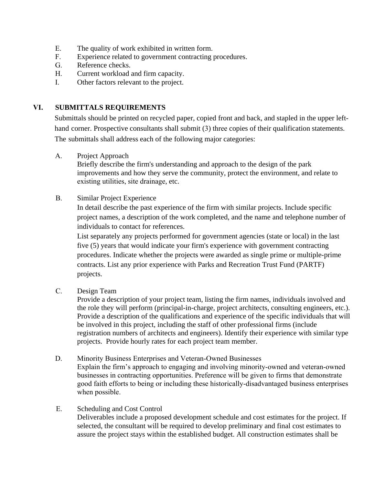- E. The quality of work exhibited in written form.
- F. Experience related to government contracting procedures.
- G. Reference checks.
- H. Current workload and firm capacity.
- I. Other factors relevant to the project.

#### **VI. SUBMITTALS REQUIREMENTS**

Submittals should be printed on recycled paper, copied front and back, and stapled in the upper lefthand corner. Prospective consultants shall submit (3) three copies of their qualification statements. The submittals shall address each of the following major categories:

A. Project Approach

Briefly describe the firm's understanding and approach to the design of the park improvements and how they serve the community, protect the environment, and relate to existing utilities, site drainage, etc.

B. Similar Project Experience

In detail describe the past experience of the firm with similar projects. Include specific project names, a description of the work completed, and the name and telephone number of individuals to contact for references.

List separately any projects performed for government agencies (state or local) in the last five (5) years that would indicate your firm's experience with government contracting procedures. Indicate whether the projects were awarded as single prime or multiple-prime contracts. List any prior experience with Parks and Recreation Trust Fund (PARTF) projects.

C. Design Team

Provide a description of your project team, listing the firm names, individuals involved and the role they will perform (principal-in-charge, project architects, consulting engineers, etc.). Provide a description of the qualifications and experience of the specific individuals that will be involved in this project, including the staff of other professional firms (include registration numbers of architects and engineers). Identify their experience with similar type projects. Provide hourly rates for each project team member.

D. Minority Business Enterprises and Veteran-Owned Businesses

Explain the firm's approach to engaging and involving minority-owned and veteran-owned businesses in contracting opportunities. Preference will be given to firms that demonstrate good faith efforts to being or including these historically-disadvantaged business enterprises when possible.

E. Scheduling and Cost Control

Deliverables include a proposed development schedule and cost estimates for the project. If selected, the consultant will be required to develop preliminary and final cost estimates to assure the project stays within the established budget. All construction estimates shall be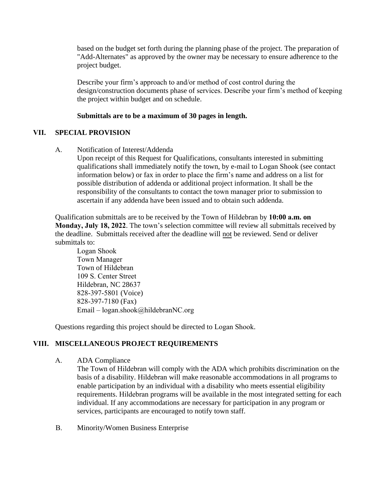based on the budget set forth during the planning phase of the project. The preparation of "Add-Alternates" as approved by the owner may be necessary to ensure adherence to the project budget.

Describe your firm's approach to and/or method of cost control during the design/construction documents phase of services. Describe your firm's method of keeping the project within budget and on schedule.

#### **Submittals are to be a maximum of 30 pages in length.**

### **VII. SPECIAL PROVISION**

A. Notification of Interest/Addenda

Upon receipt of this Request for Qualifications, consultants interested in submitting qualifications shall immediately notify the town, by e-mail to Logan Shook (see contact information below) or fax in order to place the firm's name and address on a list for possible distribution of addenda or additional project information. It shall be the responsibility of the consultants to contact the town manager prior to submission to ascertain if any addenda have been issued and to obtain such addenda.

Qualification submittals are to be received by the Town of Hildebran by **10:00 a.m. on Monday, July 18, 2022**. The town's selection committee will review all submittals received by the deadline. Submittals received after the deadline will not be reviewed. Send or deliver submittals to:

Logan Shook Town Manager Town of Hildebran 109 S. Center Street Hildebran, NC 28637 828-397-5801 (Voice) 828-397-7180 (Fax) Email – [logan.shook@hildebranNC.org](mailto:logan.shook@hildebranNC.org)

Questions regarding this project should be directed to Logan Shook.

### **VIII. MISCELLANEOUS PROJECT REQUIREMENTS**

A. ADA Compliance

The Town of Hildebran will comply with the ADA which prohibits discrimination on the basis of a disability. Hildebran will make reasonable accommodations in all programs to enable participation by an individual with a disability who meets essential eligibility requirements. Hildebran programs will be available in the most integrated setting for each individual. If any accommodations are necessary for participation in any program or services, participants are encouraged to notify town staff.

B. Minority/Women Business Enterprise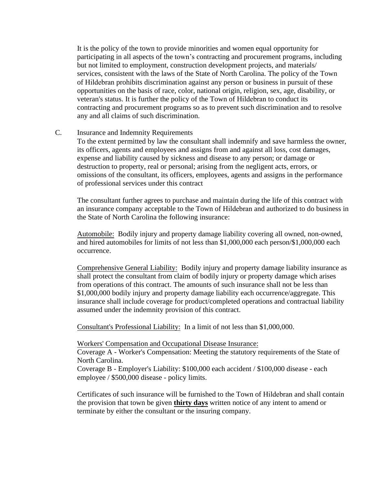It is the policy of the town to provide minorities and women equal opportunity for participating in all aspects of the town's contracting and procurement programs, including but not limited to employment, construction development projects, and materials/ services, consistent with the laws of the State of North Carolina. The policy of the Town of Hildebran prohibits discrimination against any person or business in pursuit of these opportunities on the basis of race, color, national origin, religion, sex, age, disability, or veteran's status. It is further the policy of the Town of Hildebran to conduct its contracting and procurement programs so as to prevent such discrimination and to resolve any and all claims of such discrimination.

#### C. Insurance and Indemnity Requirements

To the extent permitted by law the consultant shall indemnify and save harmless the owner, its officers, agents and employees and assigns from and against all loss, cost damages, expense and liability caused by sickness and disease to any person; or damage or destruction to property, real or personal; arising from the negligent acts, errors, or omissions of the consultant, its officers, employees, agents and assigns in the performance of professional services under this contract

The consultant further agrees to purchase and maintain during the life of this contract with an insurance company acceptable to the Town of Hildebran and authorized to do business in the State of North Carolina the following insurance:

Automobile: Bodily injury and property damage liability covering all owned, non-owned, and hired automobiles for limits of not less than \$1,000,000 each person/\$1,000,000 each occurrence.

Comprehensive General Liability: Bodily injury and property damage liability insurance as shall protect the consultant from claim of bodily injury or property damage which arises from operations of this contract. The amounts of such insurance shall not be less than \$1,000,000 bodily injury and property damage liability each occurrence/aggregate. This insurance shall include coverage for product/completed operations and contractual liability assumed under the indemnity provision of this contract.

Consultant's Professional Liability: In a limit of not less than \$1,000,000.

#### Workers' Compensation and Occupational Disease Insurance:

Coverage A - Worker's Compensation: Meeting the statutory requirements of the State of North Carolina.

Coverage B - Employer's Liability: \$100,000 each accident / \$100,000 disease - each employee / \$500,000 disease - policy limits.

Certificates of such insurance will be furnished to the Town of Hildebran and shall contain the provision that town be given **thirty days** written notice of any intent to amend or terminate by either the consultant or the insuring company.